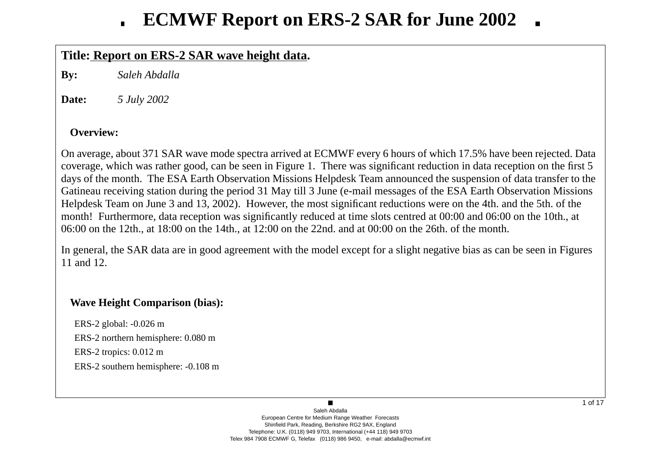## **Title: Report on ERS-2 SAR wave height data.**

**By:***Saleh Abdalla*

**Date:***5 July 2002*

### **Overview:**

On average, about 371 SAR wave mode spectra arrived at ECMWF every 6 hours of which 17.5% have been rejected. Data<br>coverage, which was rather good, can be seen in Figure 1. There was significant reduction in data reception coverage, which was rather good, can be seen in Figure 1. There was significant reduction in data reception on the first 5days of the month. The ESA Earth Observation Missions Helpdesk Team announced the suspension of data transfer to the<br>Cetineau reasiving station during the neriod 21 May till 2 June (e-mail massages of the ESA Earth Observa Gatineau receiving station during the period 31 May till 3 June (e-mail messages of the ESA Earth Observation MissionsHelpdesk Team on June 3 and 13, 2002). However, the most significant reductions were on the 4th. and the 5th. of the month! Furthermore, data reception was significantly reduced at time slots centred at 00:00 and 06:00 on the 10th., at06:00 on the 12th., at 18:00 on the 14th., at 12:00 on the 22nd. and at 00:00 on the 26th. of the month.

In general, the SAR data are in good agreement with the model except for a slight negative bias as can be seen in Figures11 and 12.

### **Wave Height Comparison (bias):**

ERS-2 global: -0.026 m ERS-2 northern hemisphere: 0.080 mERS-2 tropics: 0.012 mERS-2 southern hemisphere: -0.108 m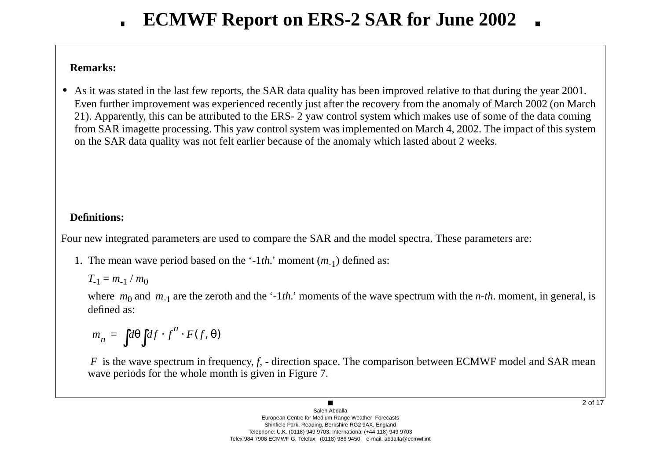### **Remarks:**

• As it was stated in the last few reports, the SAR data quality has been improved relative to that during the year 2001. Even further improvement was experienced recently just after the recovery from the anomaly of March 2002 (on March<br>21). Appenantly, this can be ettributed to the EBS. 2 your control system which makes use of some of the da 21). Apparently, this can be attributed to the ERS- 2 yaw control system which makes use of some of the data comingfrom SAR imagette processing. This yaw control system was implemented on March 4, 2002. The impact of this system<br>on the SAR data system on the SAR data quality was not felt earlier because of the anomaly which lasted about 2 weeks.

## **Definitions:**

Four new integrated parameters are used to compare the SAR and the model spectra. These parameters are:

1. The mean wave period based on the '-1*th*.' moment ( $m_{-1}$ ) defined as:

 $T_{-1} = m_{-1} / m_0$ 

where  $m_0$  and  $m_{-1}$  are the zeroth and the '-1*th*.' moments of the wave spectrum with the *n-th*. moment, in general, is defined as:

$$
m_n = \int d\theta \int df \cdot f^n \cdot F(f, \theta)
$$

*F* is the wave spectrum in frequency, *f*, - direction space. The comparison between ECMWF model and SAR mean varieds for the whole month is given in Figure 7. wave periods for the whole month is given in Figure 7.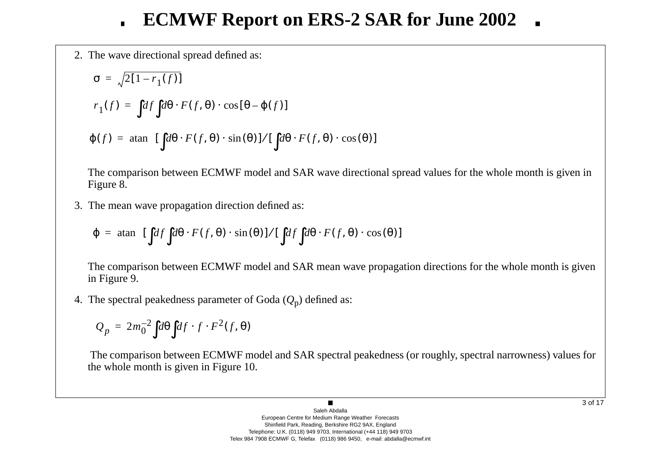2. The wave directional spread defined as:

$$
\sigma = \sqrt{2[1 - r_1(f)]}
$$
  
\n
$$
r_1(f) = \int df \int d\theta \cdot F(f, \theta) \cdot \cos[\theta - \varphi(f)]
$$
  
\n
$$
\varphi(f) = \operatorname{atan} \left\{ [\int d\theta \cdot F(f, \theta) \cdot \sin(\theta)] / [\int d\theta \cdot F(f, \theta) \cdot \cos(\theta)] \right\}
$$

The comparison between ECMWF model and SAR wave directional spread values for the whole month is given inFigure 8.

3. The mean wave propagation direction defined as:

$$
\varphi = \operatorname{atan} \left\{ [\int df \int d\theta \cdot F(f, \theta) \cdot \sin(\theta)] / [\int df \int d\theta \cdot F(f, \theta) \cdot \cos(\theta)] \right\}
$$

The comparison between ECMWF model and SAR mean wave propagation directions for the whole month is given<br>in Figure 0 in Figure 9.

4. The spectral peakedness parameter of Goda (*Q*<sup>p</sup>) defined as:

$$
Q_p = 2m_0^{-2} \int d\theta \int df \cdot f \cdot F^2(f, \theta)
$$

The comparison between ECMWF model and SAR spectral peakedness (or roughly, spectral narrowness) values for the whole month is given in Figure 10.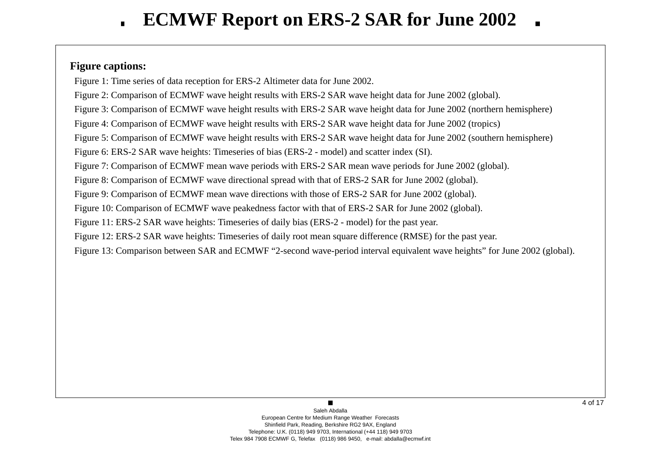### **Figure captions:**

Figure 1: Time series of data reception for ERS-2 Altimeter data for June 2002.

Figure 2: Comparison of ECMWF wave height results with ERS-2 SAR wave height data for June 2002 (global).

Figure 3: Comparison of ECMWF wave height results with ERS-2 SAR wave height data for June 2002 (northern hemisphere)

Figure 4: Comparison of ECMWF wave height results with ERS-2 SAR wave height data for June 2002 (tropics)

Figure 5: Comparison of ECMWF wave height results with ERS-2 SAR wave height data for June 2002 (southern hemisphere)

Figure 6: ERS-2 SAR wave heights: Timeseries of bias (ERS-2 - model) and scatter index (SI).

Figure 7: Comparison of ECMWF mean wave periods with ERS-2 SAR mean wave periods for June 2002 (global).

Figure 8: Comparison of ECMWF wave directional spread with that of ERS-2 SAR for June 2002 (global).

Figure 9: Comparison of ECMWF mean wave directions with those of ERS-2 SAR for June 2002 (global).

Figure 10: Comparison of ECMWF wave peakedness factor with that of ERS-2 SAR for June 2002 (global).

Figure 11: ERS-2 SAR wave heights: Timeseries of daily bias (ERS-2 - model) for the past year.

Figure 12: ERS-2 SAR wave heights: Timeseries of daily root mean square difference (RMSE) for the past year.

Figure 13: Comparison between SAR and ECMWF "2-second wave-period interval equivalent wave heights" for June 2002 (global).

 $\blacksquare$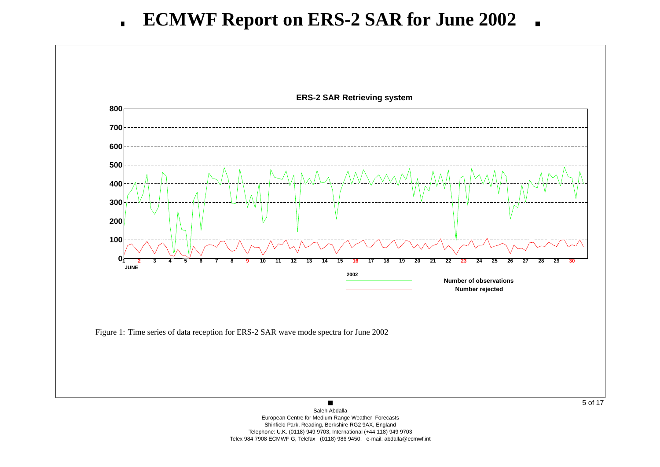

 European Centre for Medium Range Weather Forecasts Shinfield Park, Reading, Berkshire RG2 9AX, England Telephone: U.K. (0118) 949 9703, International (+44 118) 949 9703Telex 984 7908 ECMWF G, Telefax (0118) 986 9450, e-mail: abdalla@ecmwf.int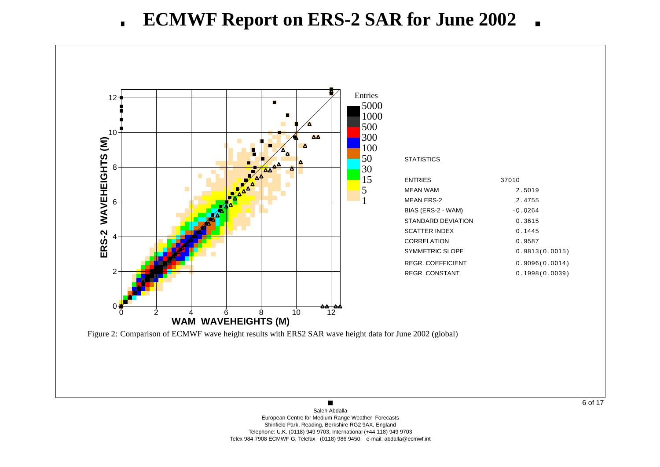

6 of 17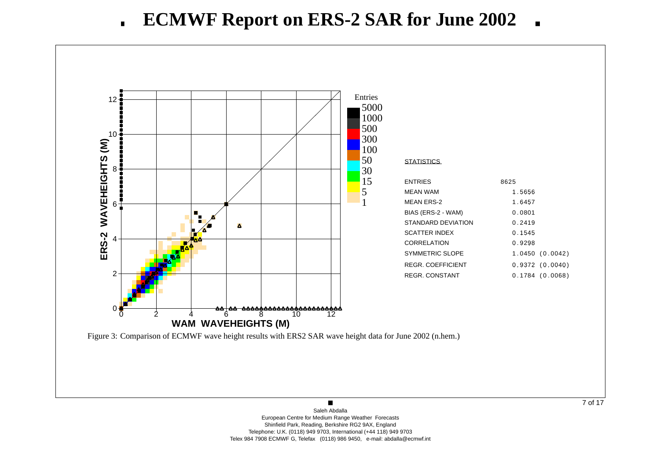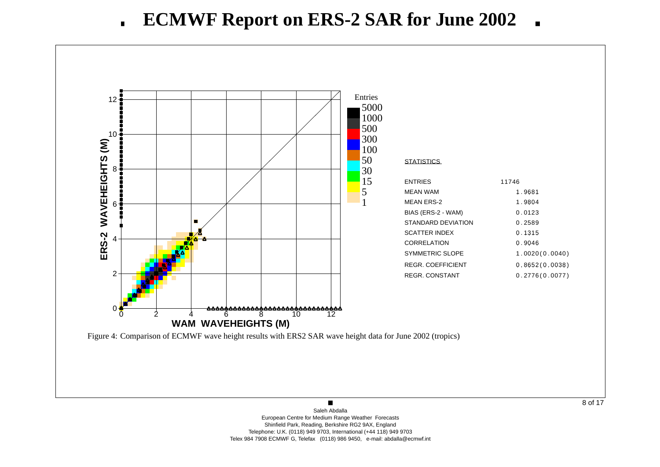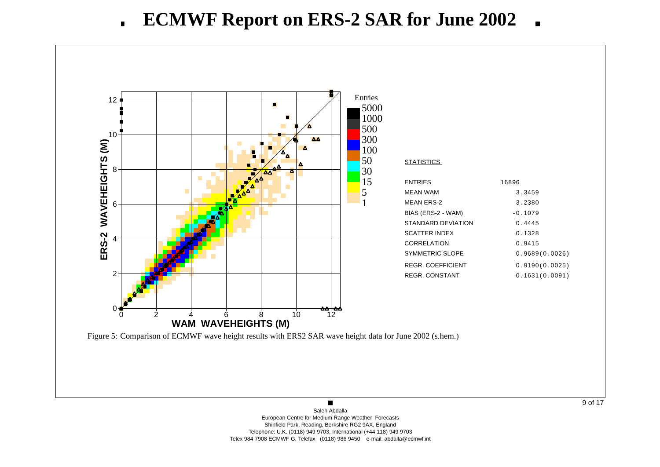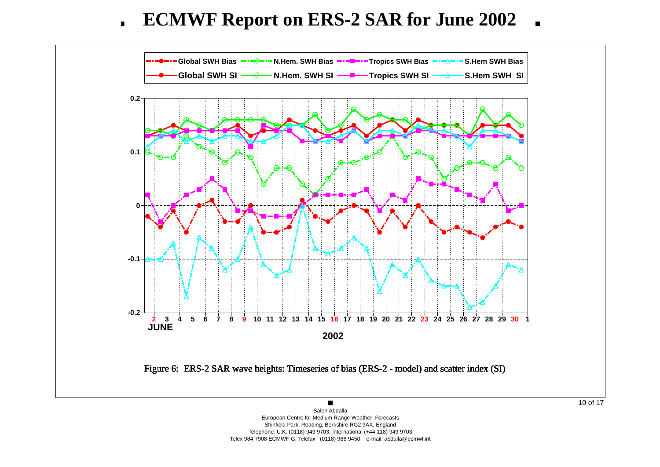**ECMWF Report on ERS-2 SAR for June 2002** $\blacksquare$ 



 Shinfield Park, Reading, Berkshire RG2 9AX, England Telephone: U.K. (0118) 949 9703, International (+44 118) 949 9703Telex 984 7908 ECMWF G, Telefax (0118) 986 9450, e-mail: abdalla@ecmwf.int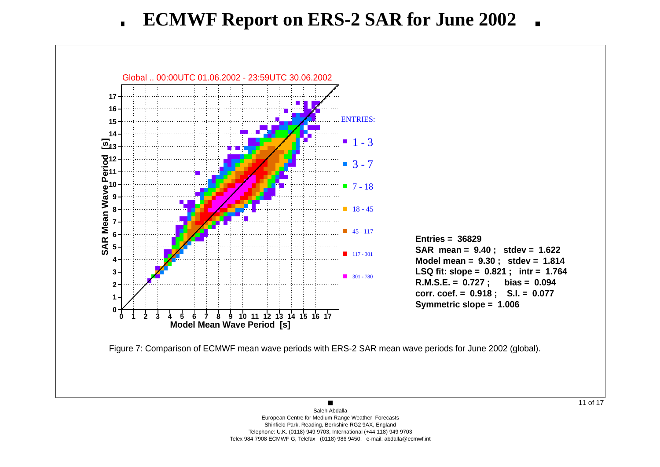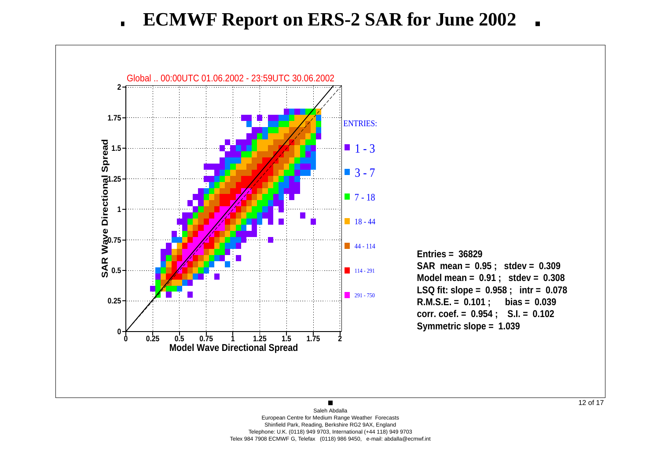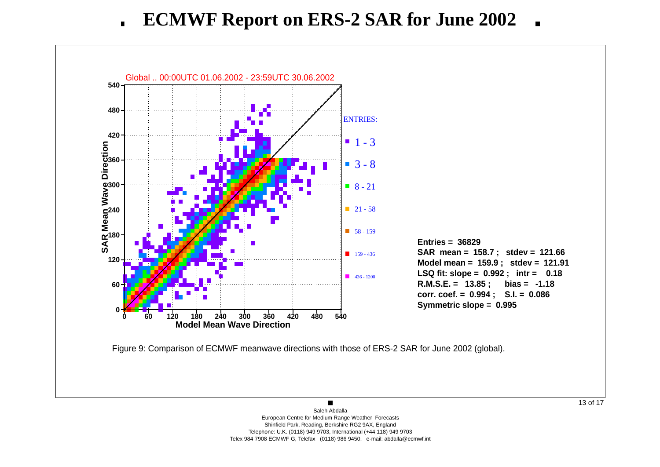

 $\blacksquare$ Saleh Abdalla European Centre for Medium Range Weather Forecasts Shinfield Park, Reading, Berkshire RG2 9AX, England Telephone: U.K. (0118) 949 9703, International (+44 118) 949 9703Telex 984 7908 ECMWF G, Telefax (0118) 986 9450, e-mail: abdalla@ecmwf.int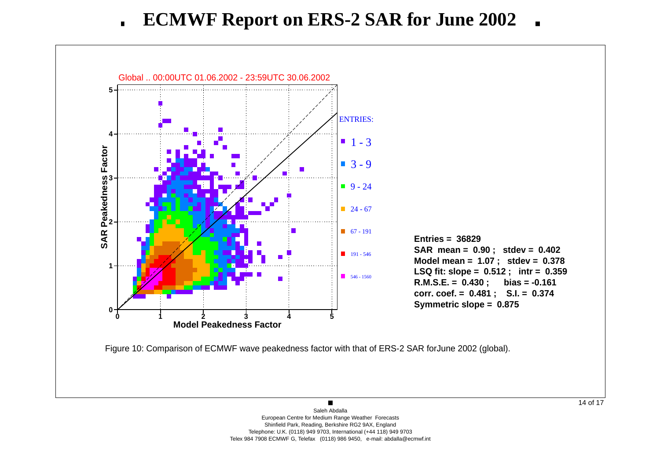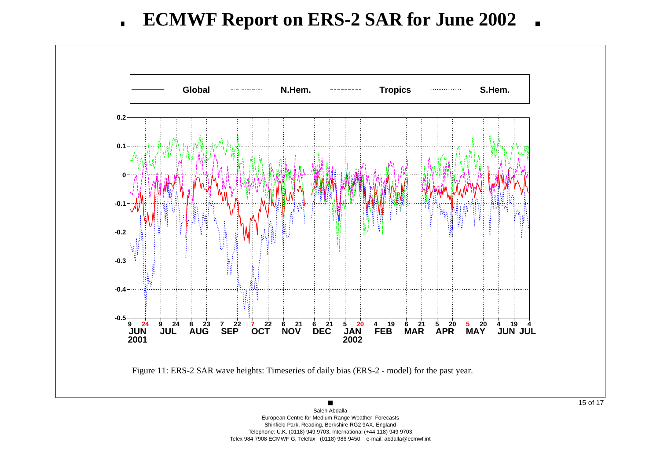

 European Centre for Medium Range Weather Forecasts Shinfield Park, Reading, Berkshire RG2 9AX, England Telephone: U.K. (0118) 949 9703, International (+44 118) 949 9703Telex 984 7908 ECMWF G, Telefax (0118) 986 9450, e-mail: abdalla@ecmwf.int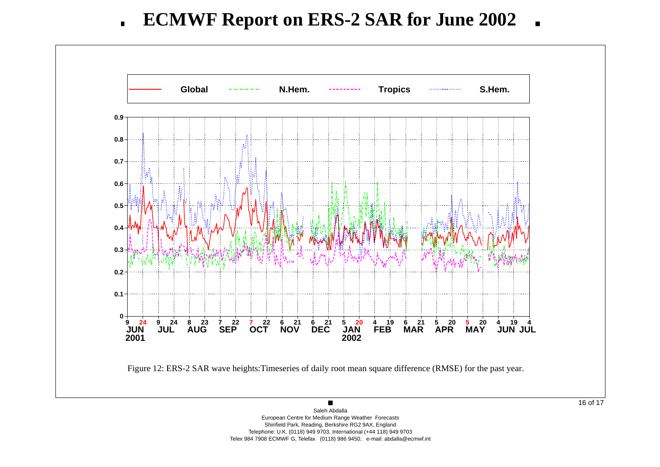